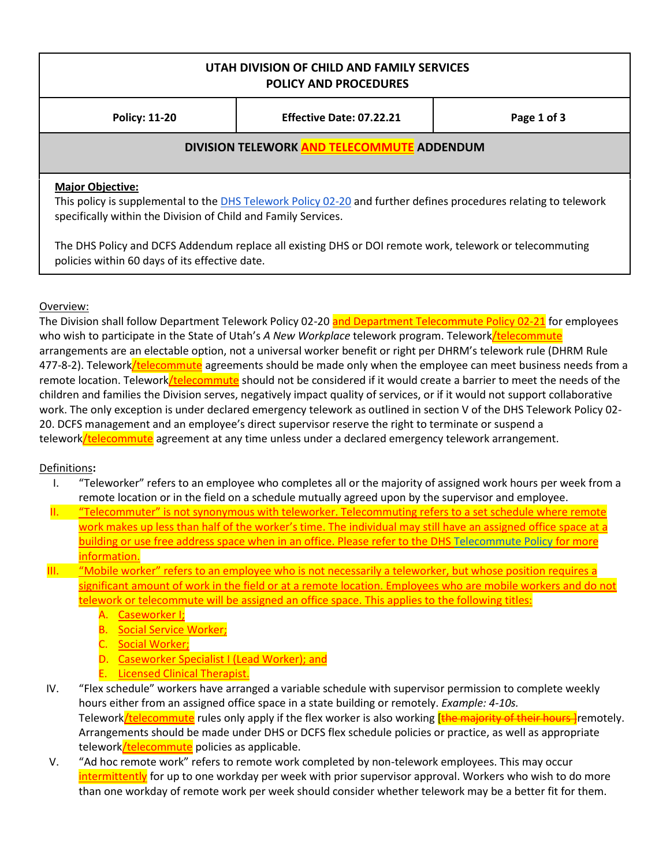## **UTAH DIVISION OF CHILD AND FAMILY SERVICES POLICY AND PROCEDURES**

**Policy: 11-20 Effective Date: 07.22.21 Page 1 of 3**

### **DIVISION TELEWORK AND TELECOMMUTE ADDENDUM**

#### **Major Objective:**

This policy is supplemental to th[e DHS Telework Policy 02-20](https://powerdms.com/ui/login.aspx?ReturnUrl=%2Fdocs%2F771794) and further defines procedures relating to telework specifically within the Division of Child and Family Services.

The DHS Policy and DCFS Addendum replace all existing DHS or DOI remote work, telework or telecommuting policies within 60 days of its effective date.

### Overview:

The Division shall follow Department Telework Policy 02-20 and Department Telecommute Policy 02-21 for employees who wish to participate in the State of Utah's *A New Workplace* telework program. Telework/telecommute arrangements are an electable option, not a universal worker benefit or right per DHRM's telework rule (DHRM Rule 477-8-2). Telework/telecommute agreements should be made only when the employee can meet business needs from a remote location. Telework/telecommute should not be considered if it would create a barrier to meet the needs of the children and families the Division serves, negatively impact quality of services, or if it would not support collaborative work. The only exception is under declared emergency telework as outlined in section V of the DHS Telework Policy 02- 20. DCFS management and an employee's direct supervisor reserve the right to terminate or suspend a telework/telecommute agreement at any time unless under a declared emergency telework arrangement.

#### Definitions**:**

- I. "Teleworker" refers to an employee who completes all or the majority of assigned work hours per week from a remote location or in the field on a schedule mutually agreed upon by the supervisor and employee.
- II. "Telecommuter" is not synonymous with teleworker. Telecommuting refers to a set schedule where remote work makes up less than half of the worker's time. The individual may still have an assigned office space at a building or use free address space when in an office. Please refer to the DH[S Telecommute Policy](https://powerdms.com/docs/895552) for more information.
- III. "Mobile worker" refers to an employee who is not necessarily a teleworker, but whose position requires a significant amount of work in the field or at a remote location. Employees who are mobile workers and do not telework or telecommute will be assigned an office space. This applies to the following titles:
	- A. Caseworker I;
	- B. Social Service Worker;
	- C. Social Worker;
	- D. Caseworker Specialist I (Lead Worker); and
	- E. Licensed Clinical Therapist.
- IV. "Flex schedule" workers have arranged a variable schedule with supervisor permission to complete weekly hours either from an assigned office space in a state building or remotely. *Example: 4-10s.*  Telework/telecommute rules only apply if the flex worker is also working *[the majority of their hours* ]remotely. Arrangements should be made under DHS or DCFS flex schedule policies or practice, as well as appropriate telework/telecommute policies as applicable.
- V. "Ad hoc remote work" refers to remote work completed by non-telework employees. This may occur intermittently</u> for up to one workday per week with prior supervisor approval. Workers who wish to do more than one workday of remote work per week should consider whether telework may be a better fit for them.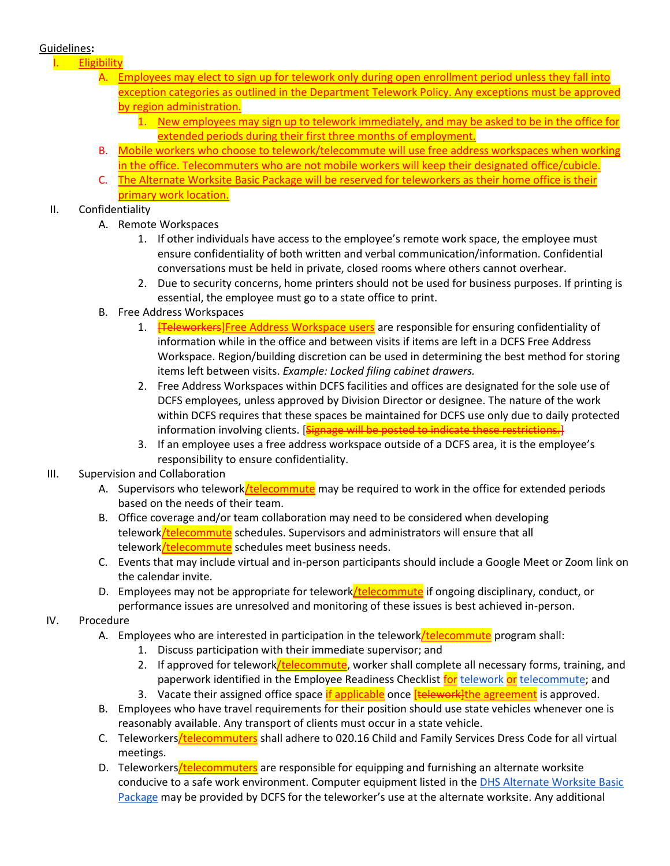### Guidelines**:**

### **Eligibility**

- Employees may elect to sign up for telework only during open enrollment period unless they fall into exception categories as outlined in the Department Telework Policy. Any exceptions must be approved by region administration.
	- 1. New employees may sign up to telework immediately, and may be asked to be in the office for extended periods during their first three months of employment.
- B. Mobile workers who choose to telework/telecommute will use free address workspaces when working in the office. Telecommuters who are not mobile workers will keep their designated office/cubicle.
- C. The Alternate Worksite Basic Package will be reserved for teleworkers as their home office is their primary work location.

## II. Confidentiality

- A. Remote Workspaces
	- 1. If other individuals have access to the employee's remote work space, the employee must ensure confidentiality of both written and verbal communication/information. Confidential conversations must be held in private, closed rooms where others cannot overhear.
	- 2. Due to security concerns, home printers should not be used for business purposes. If printing is essential, the employee must go to a state office to print.
- B. Free Address Workspaces
	- 1. **[Teleworkers**]Free Address Workspace users are responsible for ensuring confidentiality of information while in the office and between visits if items are left in a DCFS Free Address Workspace. Region/building discretion can be used in determining the best method for storing items left between visits. *Example: Locked filing cabinet drawers.*
	- 2. Free Address Workspaces within DCFS facilities and offices are designated for the sole use of DCFS employees, unless approved by Division Director or designee. The nature of the work within DCFS requires that these spaces be maintained for DCFS use only due to daily protected information involving clients. [Signage will be posted to indicate these restrictions.]
	- 3. If an employee uses a free address workspace outside of a DCFS area, it is the employee's responsibility to ensure confidentiality.

# III. Supervision and Collaboration

- A. Supervisors who telework*/telecommute* may be required to work in the office for extended periods based on the needs of their team.
- B. Office coverage and/or team collaboration may need to be considered when developing telework/telecommute schedules. Supervisors and administrators will ensure that all telework/telecommute schedules meet business needs.
- C. Events that may include virtual and in-person participants should include a Google Meet or Zoom link on the calendar invite.
- D. Employees may not be appropriate for telework/telecommute if ongoing disciplinary, conduct, or performance issues are unresolved and monitoring of these issues is best achieved in-person.

# IV. Procedure

- A. Employees who are interested in participation in the telework**/telecommute** program shall:
	- 1. Discuss participation with their immediate supervisor; and
	- 2. If approved for telework/telecommute, worker shall complete all necessary forms, training, and paperwork identified in the Employee Readiness Checklist for [telework](https://drive.google.com/file/d/1Ag7hMOHlXAktmQS0rk8thMamjQA-Wb6p/view) or [telecommute;](https://drive.google.com/file/d/1azH3f9cTAR_T3ZE1lRQmnDVvZSZ5VpXe/view?usp=sharing) and
	- 3. Vacate their assigned office space if applicable once [telework] the agreement is approved.
- B. Employees who have travel requirements for their position should use state vehicles whenever one is reasonably available. Any transport of clients must occur in a state vehicle.
- C. Teleworkers/telecommuters shall adhere to 020.16 Child and Family Services Dress Code for all virtual meetings.
- D. Teleworkers/telecommuters are responsible for equipping and furnishing an alternate worksite conducive to a safe work environment. Computer equipment listed in the DHS Alternate Worksite Basic [Package](https://docs.google.com/document/d/1vyOyNcvzJYdPAFAVrj_HiwrE5axnX9FxDR77JZIIG44/edit) may be provided by DCFS for the teleworker's use at the alternate worksite. Any additional